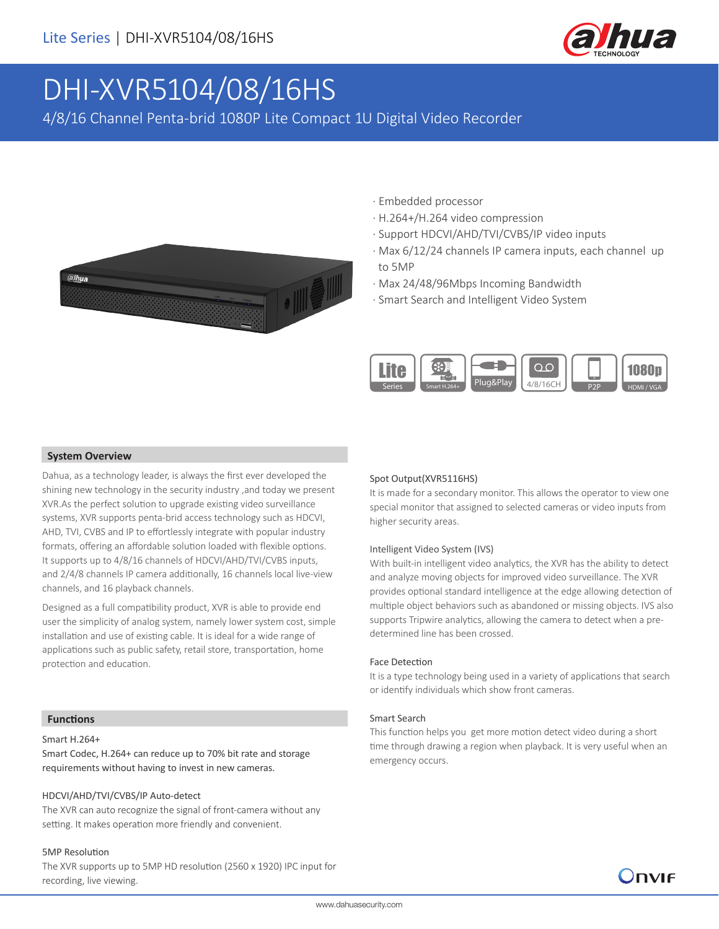

# DHI-XVR5104/08/16HS

4/8/16 Channel Penta-brid 1080P Lite Compact 1U Digital Video Recorder



- · Embedded processor
- · H.264+/H.264 video compression
- · Support HDCVI/AHD/TVI/CVBS/IP video inputs
- · Max 6/12/24 channels IP camera inputs, each channel up to 5MP
- · Max 24/48/96Mbps Incoming Bandwidth
- · Smart Search and Intelligent Video System



#### **System Overview**

Dahua, as a technology leader, is always the first ever developed the shining new technology in the security industry ,and today we present XVR.As the perfect solution to upgrade existing video surveillance systems, XVR supports penta-brid access technology such as HDCVI, AHD, TVI, CVBS and IP to effortlessly integrate with popular industry formats, offering an affordable solution loaded with flexible options. It supports up to 4/8/16 channels of HDCVI/AHD/TVI/CVBS inputs, and 2/4/8 channels IP camera additionally, 16 channels local live-view channels, and 16 playback channels.

Designed as a full compatibility product, XVR is able to provide end user the simplicity of analog system, namely lower system cost, simple installation and use of existing cable. It is ideal for a wide range of applications such as public safety, retail store, transportation, home protection and education.

#### Spot Output(XVR5116HS)

It is made for a secondary monitor. This allows the operator to view one special monitor that assigned to selected cameras or video inputs from higher security areas.

#### Intelligent Video System (IVS)

With built-in intelligent video analytics, the XVR has the ability to detect and analyze moving objects for improved video surveillance. The XVR provides optional standard intelligence at the edge allowing detection of multiple object behaviors such as abandoned or missing objects. IVS also supports Tripwire analytics, allowing the camera to detect when a predetermined line has been crossed.

#### Face Detection

It is a type technology being used in a variety of applications that search or identify individuals which show front cameras.

#### Smart Search

This function helps you get more motion detect video during a short time through drawing a region when playback. It is very useful when an emergency occurs.

)DVIF

#### **Functions**

#### Smart H.264+

Smart Codec, H.264+ can reduce up to 70% bit rate and storage requirements without having to invest in new cameras.

#### HDCVI/AHD/TVI/CVBS/IP Auto-detect

The XVR can auto recognize the signal of front-camera without any setting. It makes operation more friendly and convenient.

#### 5MP Resolution

The XVR supports up to 5MP HD resolution (2560 x 1920) IPC input for recording, live viewing.

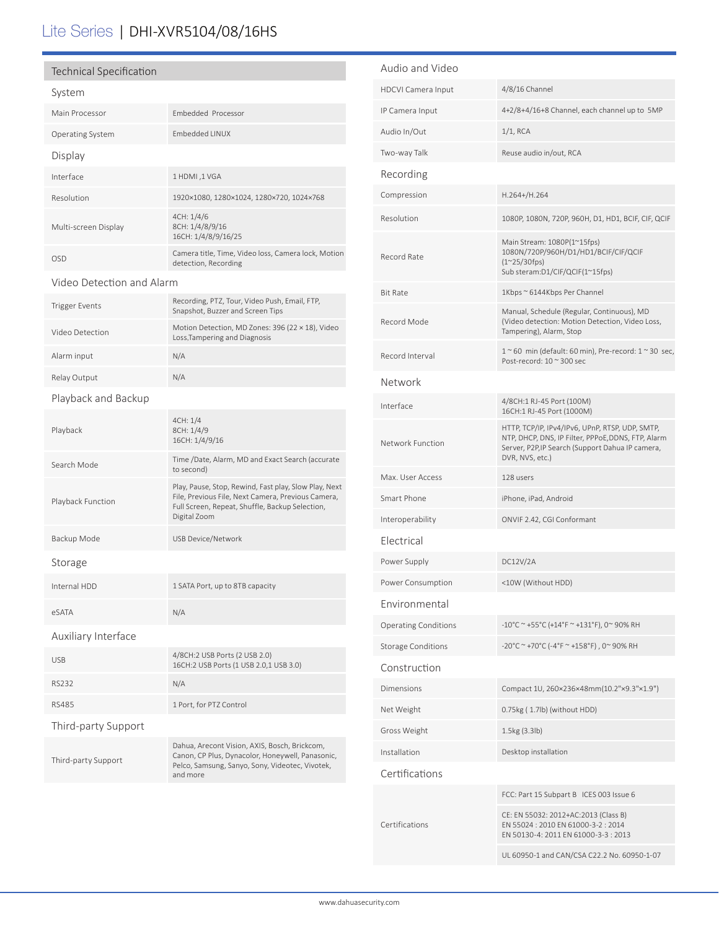## Lite Series | DHI-XVR5104/08/16HS

#### Technical Specification

| System                    |                                                                                                                                                                                |  |  |
|---------------------------|--------------------------------------------------------------------------------------------------------------------------------------------------------------------------------|--|--|
| Main Processor            | Embedded Processor                                                                                                                                                             |  |  |
| <b>Operating System</b>   | <b>Embedded LINUX</b>                                                                                                                                                          |  |  |
| Display                   |                                                                                                                                                                                |  |  |
| Interface                 | 1 HDMI, 1 VGA                                                                                                                                                                  |  |  |
| Resolution                | 1920×1080, 1280×1024, 1280×720, 1024×768                                                                                                                                       |  |  |
| Multi-screen Display      | 4CH: 1/4/6<br>8CH: 1/4/8/9/16<br>16CH: 1/4/8/9/16/25                                                                                                                           |  |  |
| OSD                       | Camera title, Time, Video loss, Camera lock, Motion<br>detection, Recording                                                                                                    |  |  |
| Video Detection and Alarm |                                                                                                                                                                                |  |  |
| <b>Trigger Events</b>     | Recording, PTZ, Tour, Video Push, Email, FTP,<br>Snapshot, Buzzer and Screen Tips                                                                                              |  |  |
| Video Detection           | Motion Detection, MD Zones: 396 (22 × 18), Video<br>Loss, Tampering and Diagnosis                                                                                              |  |  |
| Alarm input               | N/A                                                                                                                                                                            |  |  |
| Relay Output              | N/A                                                                                                                                                                            |  |  |
| Playback and Backup       |                                                                                                                                                                                |  |  |
| Playback                  | 4CH: 1/4<br>8CH: 1/4/9<br>16CH: 1/4/9/16                                                                                                                                       |  |  |
| Search Mode               | Time /Date, Alarm, MD and Exact Search (accurate<br>to second)                                                                                                                 |  |  |
| Playback Function         | Play, Pause, Stop, Rewind, Fast play, Slow Play, Next<br>File, Previous File, Next Camera, Previous Camera,<br>Full Screen, Repeat, Shuffle, Backup Selection,<br>Digital Zoom |  |  |
| Backup Mode               | <b>USB Device/Network</b>                                                                                                                                                      |  |  |
| Storage                   |                                                                                                                                                                                |  |  |
| Internal HDD              | 1 SATA Port, up to 8TB capacity                                                                                                                                                |  |  |
| eSATA                     | N/A                                                                                                                                                                            |  |  |
| Auxiliary Interface       |                                                                                                                                                                                |  |  |
| <b>USB</b>                | 4/8CH:2 USB Ports (2 USB 2.0)<br>16CH:2 USB Ports (1 USB 2.0,1 USB 3.0)                                                                                                        |  |  |
| <b>RS232</b>              | N/A                                                                                                                                                                            |  |  |
| <b>RS485</b>              | 1 Port, for PTZ Control                                                                                                                                                        |  |  |
| Third-party Support       |                                                                                                                                                                                |  |  |
| Third-party Support       | Dahua, Arecont Vision, AXIS, Bosch, Brickcom,<br>Canon, CP Plus, Dynacolor, Honeywell, Panasonic,<br>Pelco, Samsung, Sanyo, Sony, Videotec, Vivotek,<br>and more               |  |  |

| Audio and Video             |                                                                                                                                                                              |  |  |  |
|-----------------------------|------------------------------------------------------------------------------------------------------------------------------------------------------------------------------|--|--|--|
| <b>HDCVI Camera Input</b>   | 4/8/16 Channel                                                                                                                                                               |  |  |  |
| IP Camera Input             | 4+2/8+4/16+8 Channel, each channel up to 5MP                                                                                                                                 |  |  |  |
| Audio In/Out                | $1/1$ , RCA                                                                                                                                                                  |  |  |  |
| Two-way Talk                | Reuse audio in/out, RCA                                                                                                                                                      |  |  |  |
| Recording                   |                                                                                                                                                                              |  |  |  |
| Compression                 | H.264+/H.264                                                                                                                                                                 |  |  |  |
| Resolution                  | 1080P, 1080N, 720P, 960H, D1, HD1, BCIF, CIF, QCIF                                                                                                                           |  |  |  |
| Record Rate                 | Main Stream: 1080P(1~15fps)<br>1080N/720P/960H/D1/HD1/BCIF/CIF/QCIF<br>$(1^{\sim}25/30$ fps)<br>Sub steram:D1/CIF/QCIF(1~15fps)                                              |  |  |  |
| Bit Rate                    | 1Kbps ~ 6144Kbps Per Channel                                                                                                                                                 |  |  |  |
| Record Mode                 | Manual, Schedule (Regular, Continuous), MD<br>(Video detection: Motion Detection, Video Loss,<br>Tampering), Alarm, Stop                                                     |  |  |  |
| Record Interval             | $1~$ ~60 min (default: 60 min), Pre-record: $1~$ ~30 sec,<br>Post-record: 10 ~ 300 sec                                                                                       |  |  |  |
| Network                     |                                                                                                                                                                              |  |  |  |
| Interface                   | 4/8CH:1 RJ-45 Port (100M)<br>16CH:1 RJ-45 Port (1000M)                                                                                                                       |  |  |  |
| Network Function            | HTTP, TCP/IP, IPv4/IPv6, UPnP, RTSP, UDP, SMTP,<br>NTP, DHCP, DNS, IP Filter, PPPoE, DDNS, FTP, Alarm<br>Server, P2P, IP Search (Support Dahua IP camera,<br>DVR, NVS, etc.) |  |  |  |
| Max. User Access            | 128 users                                                                                                                                                                    |  |  |  |
| Smart Phone                 | iPhone, iPad, Android                                                                                                                                                        |  |  |  |
| Interoperability            | ONVIF 2.42, CGI Conformant                                                                                                                                                   |  |  |  |
| Electrical                  |                                                                                                                                                                              |  |  |  |
| Power Supply                | DC12V/2A                                                                                                                                                                     |  |  |  |
| Power Consumption           | <10W (Without HDD)                                                                                                                                                           |  |  |  |
| Environmental               |                                                                                                                                                                              |  |  |  |
| <b>Operating Conditions</b> | -10°C ~ +55°C (+14°F ~ +131°F), 0~ 90% RH                                                                                                                                    |  |  |  |
| <b>Storage Conditions</b>   | -20°C ~ +70°C (-4°F ~ +158°F), 0~90% RH                                                                                                                                      |  |  |  |
| Construction                |                                                                                                                                                                              |  |  |  |
| Dimensions                  | Compact 1U, 260×236×48mm(10.2"×9.3"×1.9")                                                                                                                                    |  |  |  |
| Net Weight                  | 0.75kg (1.7lb) (without HDD)                                                                                                                                                 |  |  |  |
| Gross Weight                | 1.5kg (3.3lb)                                                                                                                                                                |  |  |  |
| Installation                | Desktop installation                                                                                                                                                         |  |  |  |
| Certifications              |                                                                                                                                                                              |  |  |  |
| Certifications              | FCC: Part 15 Subpart B ICES 003 Issue 6                                                                                                                                      |  |  |  |
|                             | CE: EN 55032: 2012+AC:2013 (Class B)<br>EN 55024: 2010 EN 61000-3-2: 2014<br>EN 50130-4: 2011 EN 61000-3-3: 2013                                                             |  |  |  |
|                             | UL 60950-1 and CAN/CSA C22.2 No. 60950-1-07                                                                                                                                  |  |  |  |